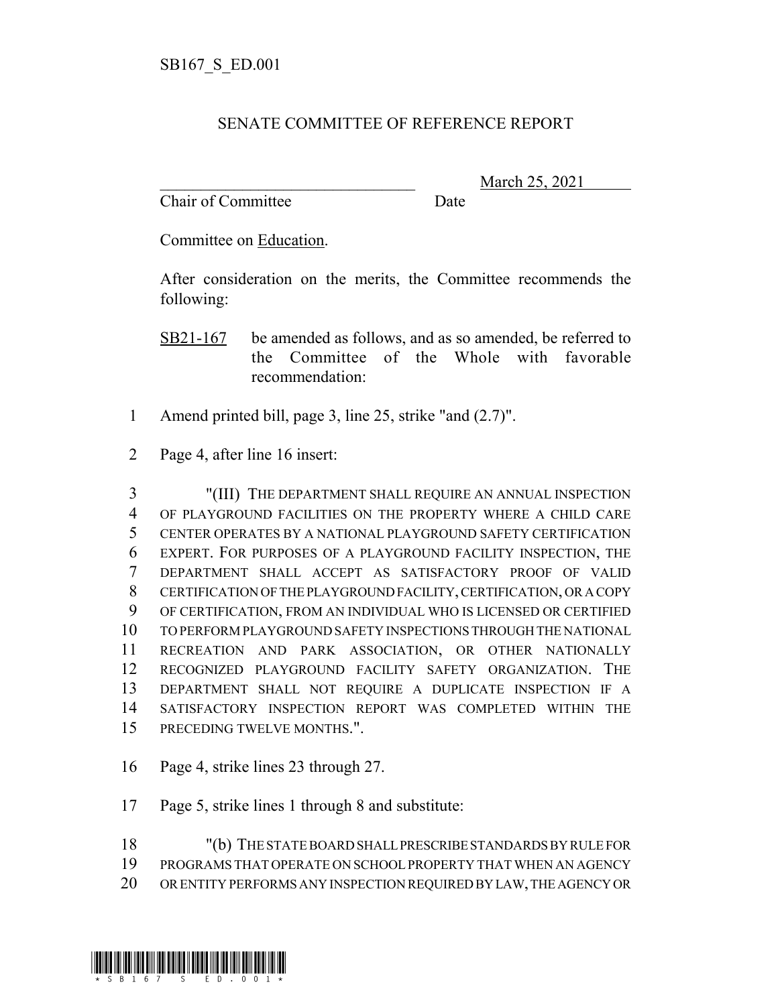## SENATE COMMITTEE OF REFERENCE REPORT

Chair of Committee Date

\_\_\_\_\_\_\_\_\_\_\_\_\_\_\_\_\_\_\_\_\_\_\_\_\_\_\_\_\_\_\_ March 25, 2021

Committee on Education.

After consideration on the merits, the Committee recommends the following:

- SB21-167 be amended as follows, and as so amended, be referred to the Committee of the Whole with favorable recommendation:
- Amend printed bill, page 3, line 25, strike "and (2.7)".
- Page 4, after line 16 insert:

 "(III) THE DEPARTMENT SHALL REQUIRE AN ANNUAL INSPECTION OF PLAYGROUND FACILITIES ON THE PROPERTY WHERE A CHILD CARE CENTER OPERATES BY A NATIONAL PLAYGROUND SAFETY CERTIFICATION EXPERT. FOR PURPOSES OF A PLAYGROUND FACILITY INSPECTION, THE DEPARTMENT SHALL ACCEPT AS SATISFACTORY PROOF OF VALID CERTIFICATION OF THE PLAYGROUND FACILITY, CERTIFICATION, OR A COPY OF CERTIFICATION, FROM AN INDIVIDUAL WHO IS LICENSED OR CERTIFIED TO PERFORM PLAYGROUND SAFETY INSPECTIONS THROUGH THE NATIONAL RECREATION AND PARK ASSOCIATION, OR OTHER NATIONALLY RECOGNIZED PLAYGROUND FACILITY SAFETY ORGANIZATION. THE DEPARTMENT SHALL NOT REQUIRE A DUPLICATE INSPECTION IF A SATISFACTORY INSPECTION REPORT WAS COMPLETED WITHIN THE PRECEDING TWELVE MONTHS.".

- Page 4, strike lines 23 through 27.
- Page 5, strike lines 1 through 8 and substitute:
- "(b) THE STATE BOARD SHALL PRESCRIBE STANDARDS BY RULE FOR PROGRAMS THAT OPERATE ON SCHOOL PROPERTY THAT WHEN AN AGENCY
- OR ENTITY PERFORMS ANY INSPECTION REQUIRED BY LAW, THE AGENCY OR

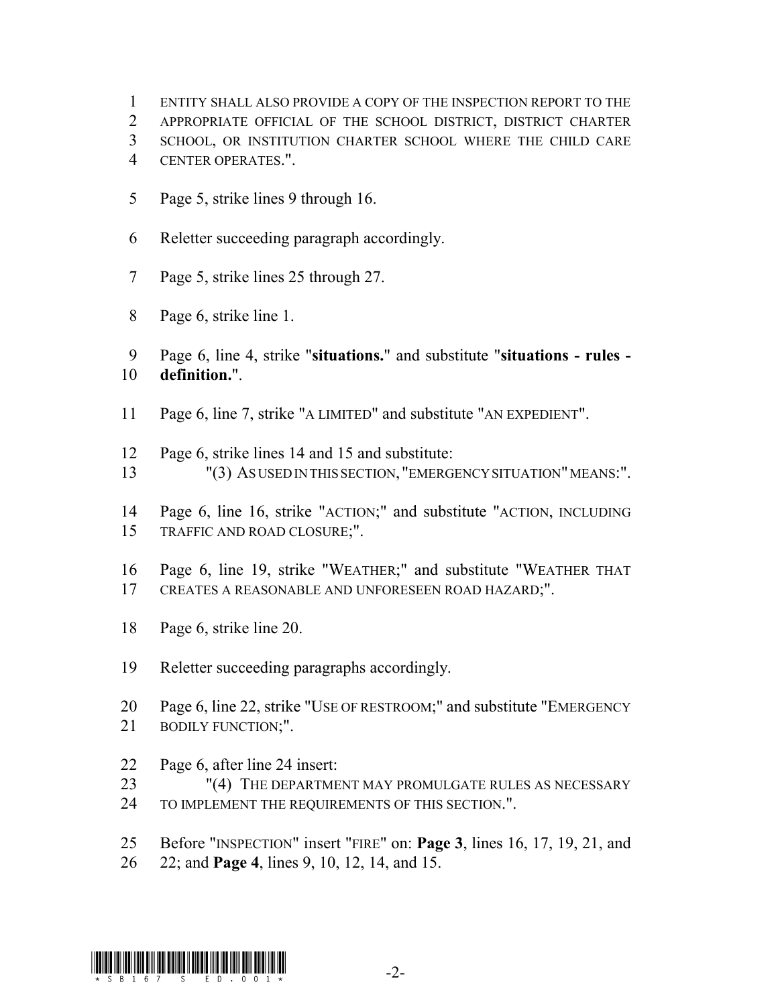- ENTITY SHALL ALSO PROVIDE A COPY OF THE INSPECTION REPORT TO THE
- APPROPRIATE OFFICIAL OF THE SCHOOL DISTRICT, DISTRICT CHARTER
- SCHOOL, OR INSTITUTION CHARTER SCHOOL WHERE THE CHILD CARE
- CENTER OPERATES.".
- Page 5, strike lines 9 through 16.
- Reletter succeeding paragraph accordingly.
- Page 5, strike lines 25 through 27.
- Page 6, strike line 1.
- Page 6, line 4, strike "**situations.**" and substitute "**situations rules - definition.**".
- Page 6, line 7, strike "A LIMITED" and substitute "AN EXPEDIENT".
- Page 6, strike lines 14 and 15 and substitute:
- "(3) AS USED IN THIS SECTION, "EMERGENCY SITUATION" MEANS:".
- Page 6, line 16, strike "ACTION;" and substitute "ACTION, INCLUDING TRAFFIC AND ROAD CLOSURE;".
- Page 6, line 19, strike "WEATHER;" and substitute "WEATHER THAT CREATES A REASONABLE AND UNFORESEEN ROAD HAZARD;".
- Page 6, strike line 20.
- Reletter succeeding paragraphs accordingly.
- Page 6, line 22, strike "USE OF RESTROOM;" and substitute "EMERGENCY 21 BODILY FUNCTION;".
- Page 6, after line 24 insert:
- 23 "(4) THE DEPARTMENT MAY PROMULGATE RULES AS NECESSARY TO IMPLEMENT THE REQUIREMENTS OF THIS SECTION.".
- Before "INSPECTION" insert "FIRE" on: **Page 3**, lines 16, 17, 19, 21, and
- 22; and **Page 4**, lines 9, 10, 12, 14, and 15.